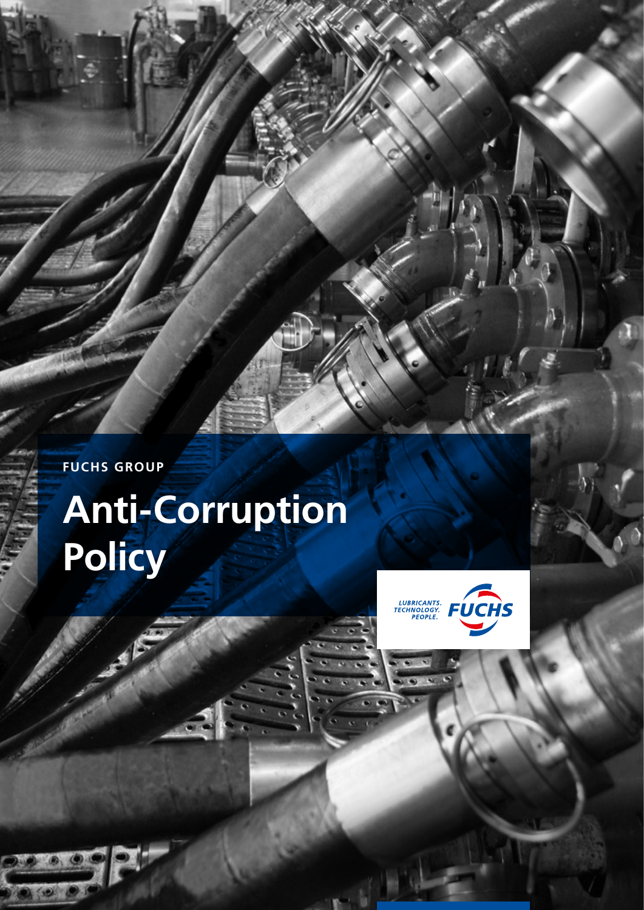**FUCHS GROUP**

# **Anti-Corruption Policy**



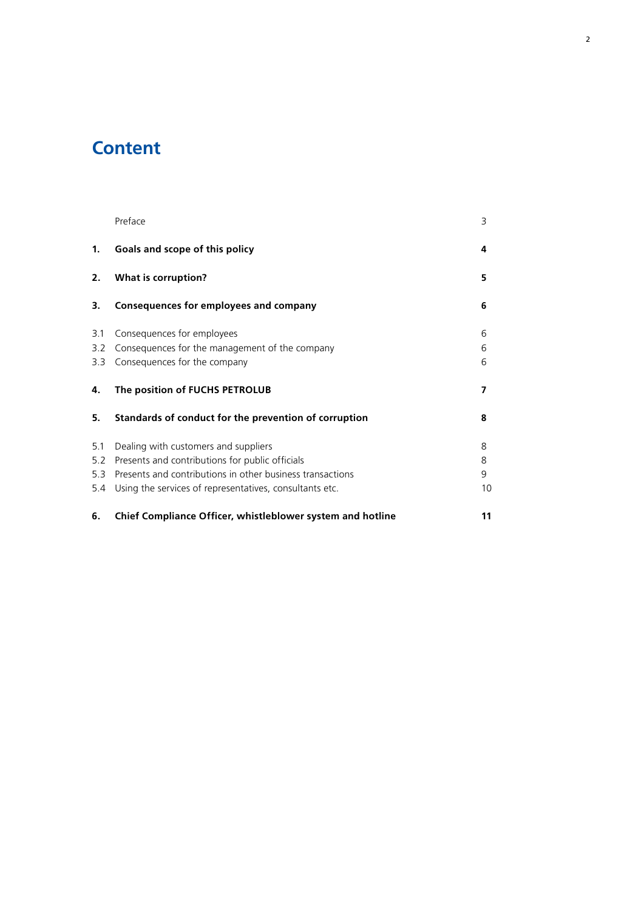# **Content**

|                | Preface                                                    | 3  |
|----------------|------------------------------------------------------------|----|
| $\mathbf{1}$ . | Goals and scope of this policy                             | 4  |
| 2.             | <b>What is corruption?</b>                                 | 5  |
| 3.             | Consequences for employees and company                     | 6  |
| 3.1            | Consequences for employees                                 | 6  |
| 3.2            | Consequences for the management of the company             | 6  |
| 3.3            | Consequences for the company                               | 6  |
| 4.             | The position of FUCHS PETROLUB                             | 7  |
| 5.             | Standards of conduct for the prevention of corruption      | 8  |
| 5.1            | Dealing with customers and suppliers                       | 8  |
| 5.2            | Presents and contributions for public officials            | 8  |
| 5.3            | Presents and contributions in other business transactions  | 9  |
| 5.4            | Using the services of representatives, consultants etc.    | 10 |
| 6.             | Chief Compliance Officer, whistleblower system and hotline | 11 |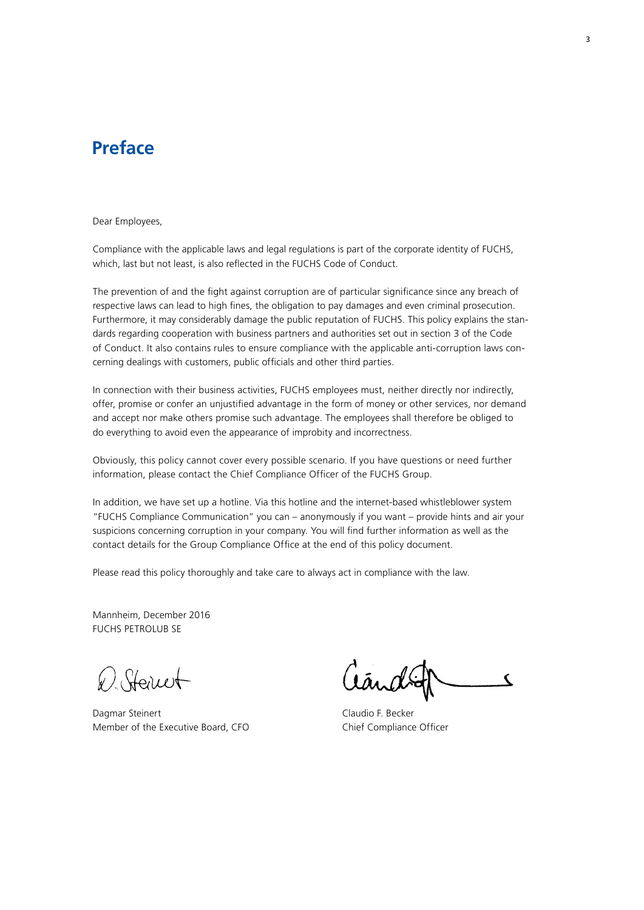### **Preface**

Dear Employees,

Compliance with the applicable laws and legal regulations is part of the corporate identity of FUCHS, which, last but not least, is also reflected in the FUCHS Code of Conduct.

The prevention of and the fight against corruption are of particular significance since any breach of respective laws can lead to high fines, the obligation to pay damages and even criminal prosecution. Furthermore, it may considerably damage the public reputation of FUCHS. This policy explains the standards regarding cooperation with business partners and authorities set out in section 3 of the Code of Conduct. It also contains rules to ensure compliance with the applicable anti-corruption laws concerning dealings with customers, public officials and other third parties.

In connection with their business activities, FUCHS employees must, neither directly nor indirectly, offer, promise or confer an unjustified advantage in the form of money or other services, nor demand and accept nor make others promise such advantage. The employees shall therefore be obliged to do everything to avoid even the appearance of improbity and incorrectness.

Obviously, this policy cannot cover every possible scenario. If you have questions or need further information, please contact the Chief Compliance Officer of the FUCHS Group.

In addition, we have set up a hotline. Via this hotline and the internet-based whistleblower system "FUCHS Compliance Communication" you can – anonymously if you want – provide hints and air your suspicions concerning corruption in your company. You will find further information as well as the contact details for the Group Compliance Office at the end of this policy document.

Please read this policy thoroughly and take care to always act in compliance with the law.

Mannheim, December 2016 FUCHS PETROLUB SE

D. Steinet

Dagmar Steinert Claudio F. Becker Member of the Executive Board, CFO Chief Compliance Officer

C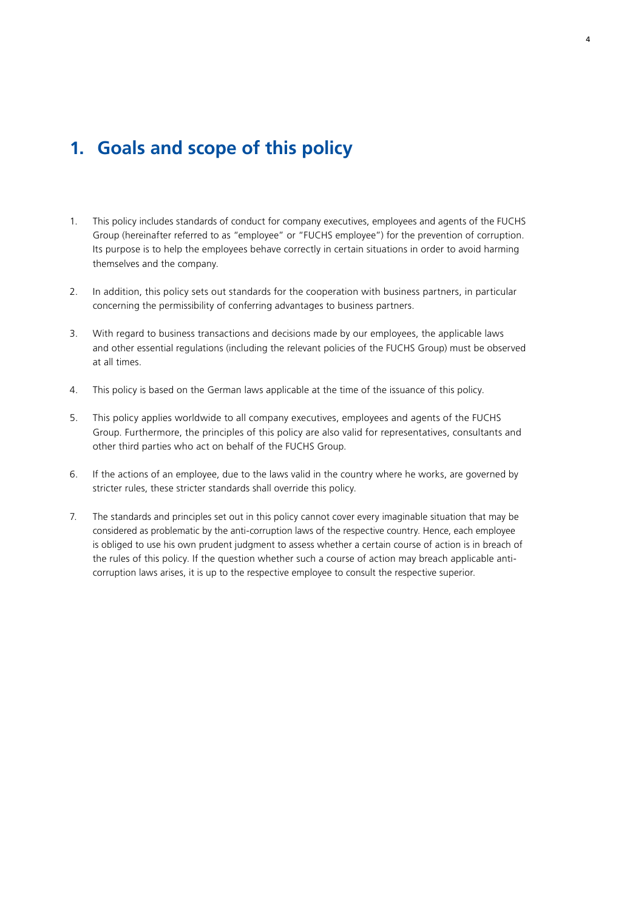### **1. Goals and scope of this policy**

- 1. This policy includes standards of conduct for company executives, employees and agents of the FUCHS Group (hereinafter referred to as "employee" or "FUCHS employee") for the prevention of corruption. Its purpose is to help the employees behave correctly in certain situations in order to avoid harming themselves and the company.
- 2. In addition, this policy sets out standards for the cooperation with business partners, in particular concerning the permissibility of conferring advantages to business partners.
- 3. With regard to business transactions and decisions made by our employees, the applicable laws and other essential regulations (including the relevant policies of the FUCHS Group) must be observed at all times.
- 4. This policy is based on the German laws applicable at the time of the issuance of this policy.
- 5. This policy applies worldwide to all company executives, employees and agents of the FUCHS Group. Furthermore, the principles of this policy are also valid for representatives, consultants and other third parties who act on behalf of the FUCHS Group.
- 6. If the actions of an employee, due to the laws valid in the country where he works, are governed by stricter rules, these stricter standards shall override this policy.
- 7. The standards and principles set out in this policy cannot cover every imaginable situation that may be considered as problematic by the anti-corruption laws of the respective country. Hence, each employee is obliged to use his own prudent judgment to assess whether a certain course of action is in breach of the rules of this policy. If the question whether such a course of action may breach applicable anticorruption laws arises, it is up to the respective employee to consult the respective superior.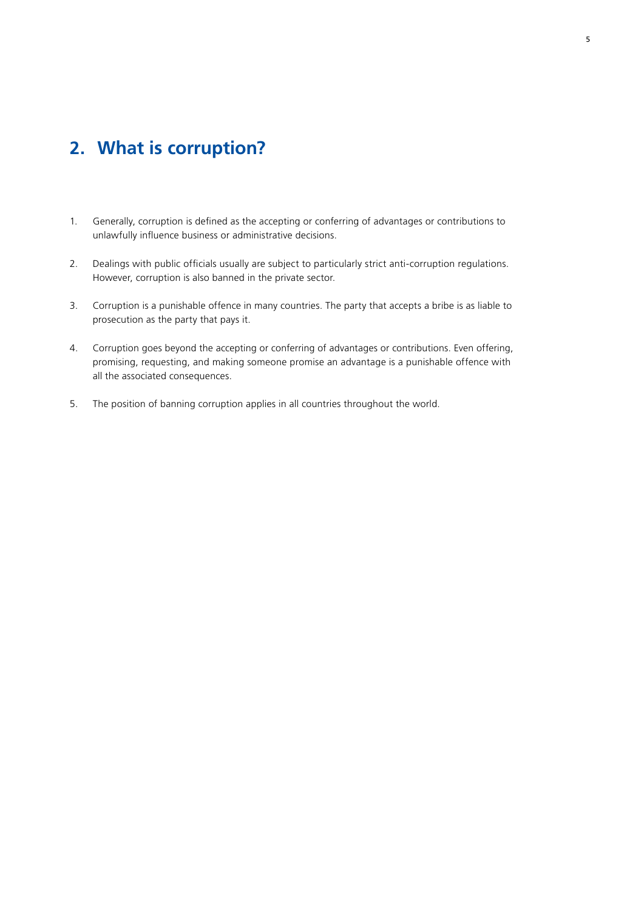### **2. What is corruption?**

- 1. Generally, corruption is defined as the accepting or conferring of advantages or contributions to unlawfully influence business or administrative decisions.
- 2. Dealings with public officials usually are subject to particularly strict anti-corruption regulations. However, corruption is also banned in the private sector.
- 3. Corruption is a punishable offence in many countries. The party that accepts a bribe is as liable to prosecution as the party that pays it.
- 4. Corruption goes beyond the accepting or conferring of advantages or contributions. Even offering, promising, requesting, and making someone promise an advantage is a punishable offence with all the associated consequences.
- 5. The position of banning corruption applies in all countries throughout the world.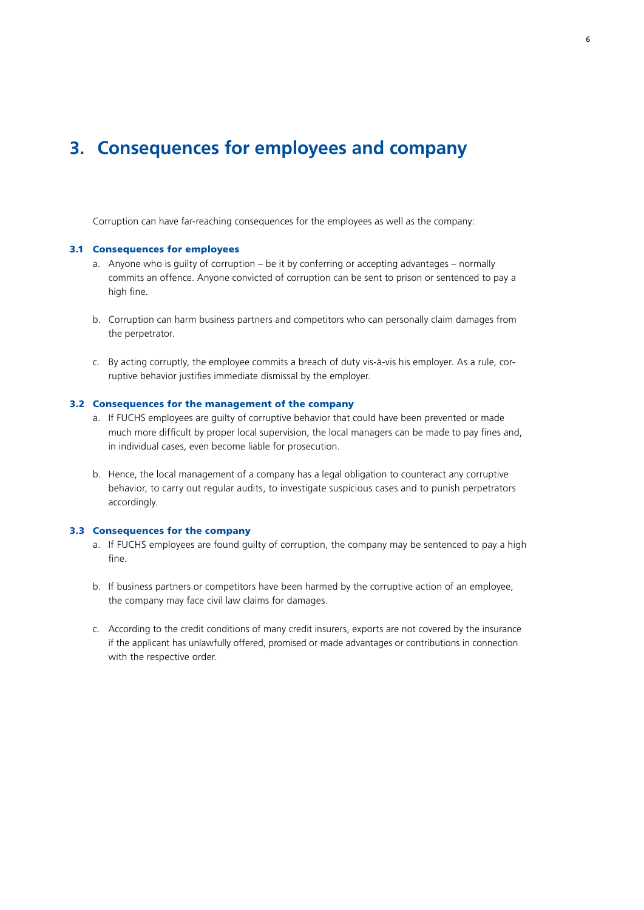### **3. Consequences for employees and company**

Corruption can have far-reaching consequences for the employees as well as the company:

#### 3.1 Consequences for employees

- a. Anyone who is guilty of corruption be it by conferring or accepting advantages normally commits an offence. Anyone convicted of corruption can be sent to prison or sentenced to pay a high fine.
- b. Corruption can harm business partners and competitors who can personally claim damages from the perpetrator.
- c. By acting corruptly, the employee commits a breach of duty vis-à-vis his employer. As a rule, corruptive behavior justifies immediate dismissal by the employer.

#### 3.2 Consequences for the management of the company

- a. If FUCHS employees are guilty of corruptive behavior that could have been prevented or made much more difficult by proper local supervision, the local managers can be made to pay fines and, in individual cases, even become liable for prosecution.
- b. Hence, the local management of a company has a legal obligation to counteract any corruptive behavior, to carry out regular audits, to investigate suspicious cases and to punish perpetrators accordingly.

#### 3.3 Consequences for the company

- a. If FUCHS employees are found guilty of corruption, the company may be sentenced to pay a high fine.
- b. If business partners or competitors have been harmed by the corruptive action of an employee, the company may face civil law claims for damages.
- c. According to the credit conditions of many credit insurers, exports are not covered by the insurance if the applicant has unlawfully offered, promised or made advantages or contributions in connection with the respective order.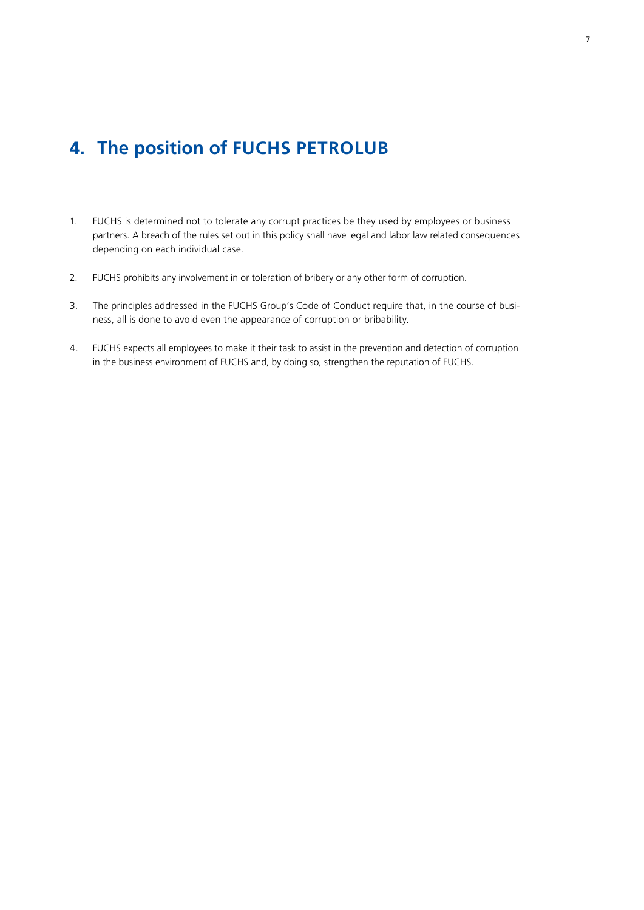## **4. The position of FUCHS PETROLUB**

- 1. FUCHS is determined not to tolerate any corrupt practices be they used by employees or business partners. A breach of the rules set out in this policy shall have legal and labor law related consequences depending on each individual case.
- 2. FUCHS prohibits any involvement in or toleration of bribery or any other form of corruption.
- 3. The principles addressed in the FUCHS Group's Code of Conduct require that, in the course of business, all is done to avoid even the appearance of corruption or bribability.
- 4. FUCHS expects all employees to make it their task to assist in the prevention and detection of corruption in the business environment of FUCHS and, by doing so, strengthen the reputation of FUCHS.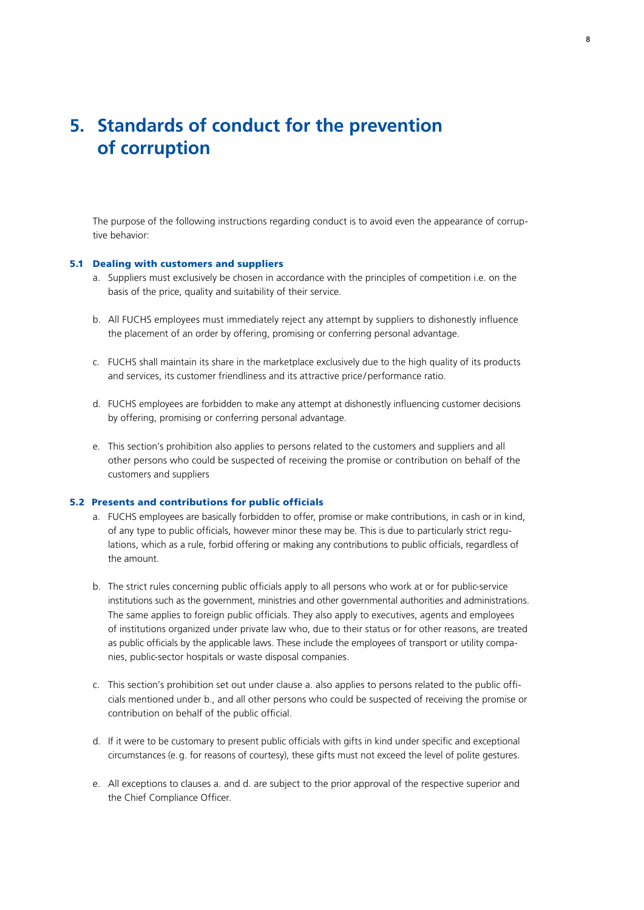### **5. Standards of conduct for the prevention of corruption**

The purpose of the following instructions regarding conduct is to avoid even the appearance of corruptive behavior:

#### 5.1 Dealing with customers and suppliers

- a. Suppliers must exclusively be chosen in accordance with the principles of competition i.e. on the basis of the price, quality and suitability of their service.
- b. All FUCHS employees must immediately reject any attempt by suppliers to dishonestly influence the placement of an order by offering, promising or conferring personal advantage.
- c. FUCHS shall maintain its share in the marketplace exclusively due to the high quality of its products and services, its customer friendliness and its attractive price /performance ratio.
- d. FUCHS employees are forbidden to make any attempt at dishonestly influencing customer decisions by offering, promising or conferring personal advantage.
- e. This section's prohibition also applies to persons related to the customers and suppliers and all other persons who could be suspected of receiving the promise or contribution on behalf of the customers and suppliers

### 5.2 Presents and contributions for public officials

- a. FUCHS employees are basically forbidden to offer, promise or make contributions, in cash or in kind, of any type to public officials, however minor these may be. This is due to particularly strict regulations, which as a rule, forbid offering or making any contributions to public officials, regardless of the amount.
- b. The strict rules concerning public officials apply to all persons who work at or for public-service institutions such as the government, ministries and other governmental authorities and administrations. The same applies to foreign public officials. They also apply to executives, agents and employees of institutions organized under private law who, due to their status or for other reasons, are treated as public officials by the applicable laws. These include the employees of transport or utility companies, public-sector hospitals or waste disposal companies.
- c. This section's prohibition set out under clause a. also applies to persons related to the public officials mentioned under b., and all other persons who could be suspected of receiving the promise or contribution on behalf of the public official.
- d. If it were to be customary to present public officials with gifts in kind under specific and exceptional circumstances (e.g. for reasons of courtesy), these gifts must not exceed the level of polite gestures.
- e. All exceptions to clauses a. and d. are subject to the prior approval of the respective superior and the Chief Compliance Officer.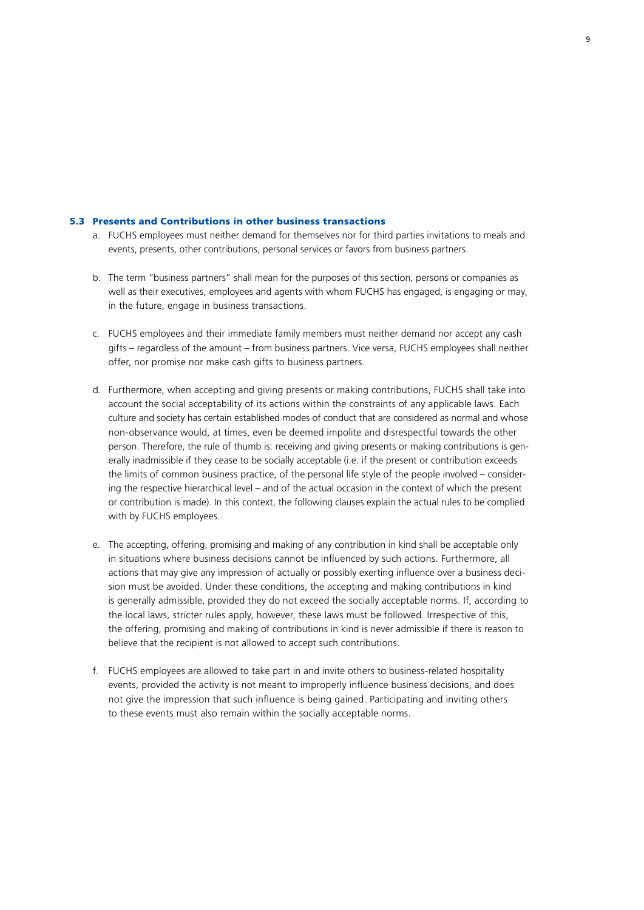#### 5.3 Presents and Contributions in other business transactions

- a. FUCHS employees must neither demand for themselves nor for third parties invitations to meals and events, presents, other contributions, personal services or favors from business partners.
- b. The term "business partners" shall mean for the purposes of this section, persons or companies as well as their executives, employees and agents with whom FUCHS has engaged, is engaging or may, in the future, engage in business transactions.
- c. FUCHS employees and their immediate family members must neither demand nor accept any cash gifts – regardless of the amount – from business partners. Vice versa, FUCHS employees shall neither offer, nor promise nor make cash gifts to business partners.
- d. Furthermore, when accepting and giving presents or making contributions, FUCHS shall take into account the social acceptability of its actions within the constraints of any applicable laws. Each culture and society has certain established modes of conduct that are considered as normal and whose non-observance would, at times, even be deemed impolite and disrespectful towards the other person. Therefore, the rule of thumb is: receiving and giving presents or making contributions is generally inadmissible if they cease to be socially acceptable (i.e. if the present or contribution exceeds the limits of common business practice, of the personal life style of the people involved – considering the respective hierarchical level – and of the actual occasion in the context of which the present or contribution is made). In this context, the following clauses explain the actual rules to be complied with by FUCHS employees.
- e. The accepting, offering, promising and making of any contribution in kind shall be acceptable only in situations where business decisions cannot be influenced by such actions. Furthermore, all actions that may give any impression of actually or possibly exerting influence over a business decision must be avoided. Under these conditions, the accepting and making contributions in kind is generally admissible, provided they do not exceed the socially acceptable norms. If, according to the local laws, stricter rules apply, however, these laws must be followed. Irrespective of this, the offering, promising and making of contributions in kind is never admissible if there is reason to believe that the recipient is not allowed to accept such contributions.
- f. FUCHS employees are allowed to take part in and invite others to business-related hospitality events, provided the activity is not meant to improperly influence business decisions, and does not give the impression that such influence is being gained. Participating and inviting others to these events must also remain within the socially acceptable norms.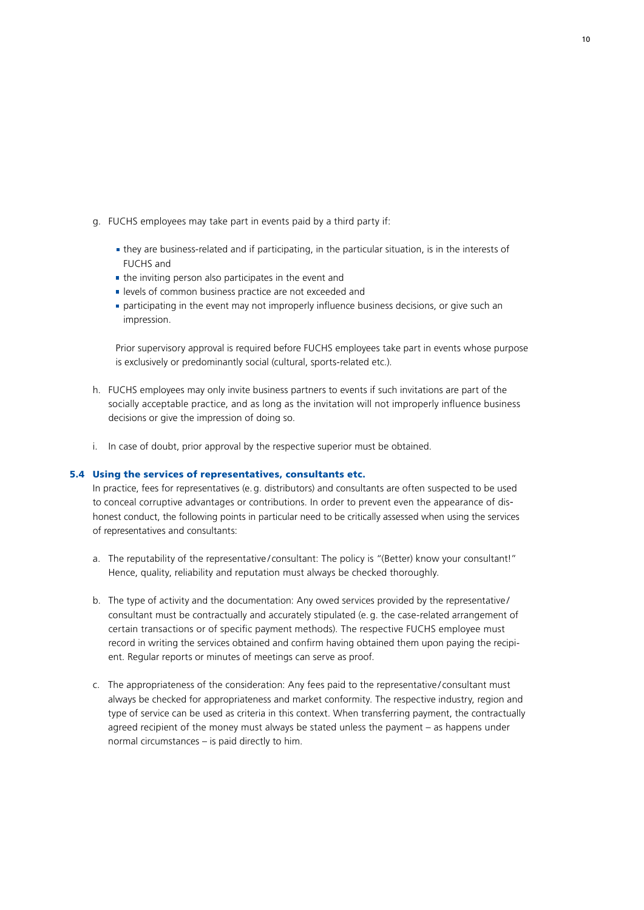- g. FUCHS employees may take part in events paid by a third party if:
	- they are business-related and if participating, in the particular situation, is in the interests of FUCHS and
	- $\blacksquare$  the inviting person also participates in the event and
	- levels of common business practice are not exceeded and
	- **participating in the event may not improperly influence business decisions, or give such an** impression.

 Prior supervisory approval is required before FUCHS employees take part in events whose purpose is exclusively or predominantly social (cultural, sports-related etc.).

- h. FUCHS employees may only invite business partners to events if such invitations are part of the socially acceptable practice, and as long as the invitation will not improperly influence business decisions or give the impression of doing so.
- i. In case of doubt, prior approval by the respective superior must be obtained.

#### 5.4 Using the services of representatives, consultants etc.

In practice, fees for representatives (e.g. distributors) and consultants are often suspected to be used to conceal corruptive advantages or contributions. In order to prevent even the appearance of dishonest conduct, the following points in particular need to be critically assessed when using the services of representatives and consultants:

- a. The reputability of the representative/consultant: The policy is "(Better) know your consultant!" Hence, quality, reliability and reputation must always be checked thoroughly.
- b. The type of activity and the documentation: Any owed services provided by the representative/ consultant must be contractually and accurately stipulated (e. g. the case-related arrangement of certain transactions or of specific payment methods). The respective FUCHS employee must record in writing the services obtained and confirm having obtained them upon paying the recipient. Regular reports or minutes of meetings can serve as proof.
- c. The appropriateness of the consideration: Any fees paid to the representative / consultant must always be checked for appropriateness and market conformity. The respective industry, region and type of service can be used as criteria in this context. When transferring payment, the contractually agreed recipient of the money must always be stated unless the payment – as happens under normal circumstances – is paid directly to him.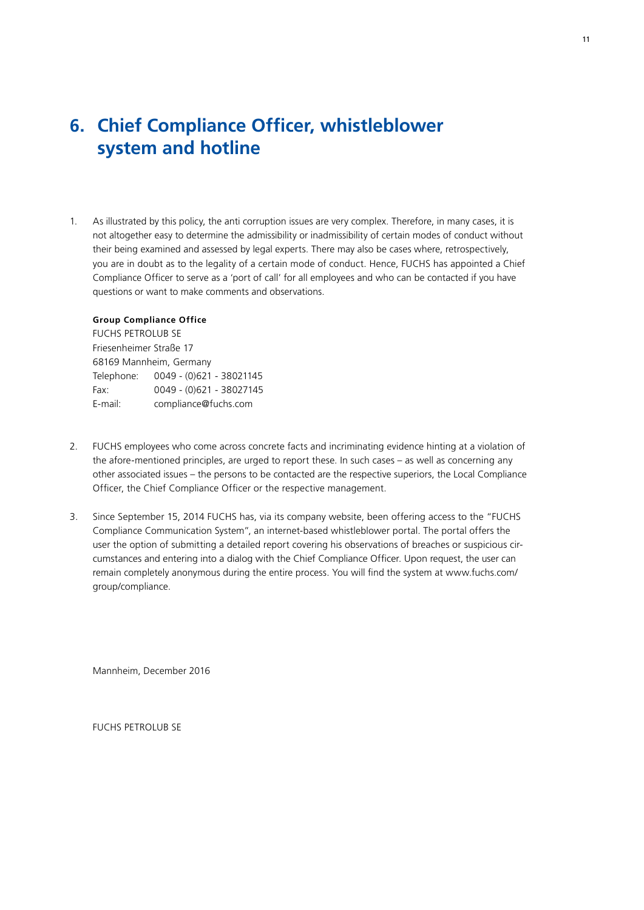### **6. Chief Compliance Officer, whistleblower system and hotline**

1. As illustrated by this policy, the anti corruption issues are very complex. Therefore, in many cases, it is not altogether easy to determine the admissibility or inadmissibility of certain modes of conduct without their being examined and assessed by legal experts. There may also be cases where, retrospectively, you are in doubt as to the legality of a certain mode of conduct. Hence, FUCHS has appointed a Chief Compliance Officer to serve as a 'port of call' for all employees and who can be contacted if you have questions or want to make comments and observations.

### **Group Compliance Office**

FUCHS PETROLUB SE Friesenheimer Straße 17 68169 Mannheim, Germany Telephone: 0049 - (0)621 - 38021145 Fax: 0049 - (0)621 - 38027145 E-mail: compliance@fuchs.com

- 2. FUCHS employees who come across concrete facts and incriminating evidence hinting at a violation of the afore-mentioned principles, are urged to report these. In such cases – as well as concerning any other associated issues – the persons to be contacted are the respective superiors, the Local Compliance Officer, the Chief Compliance Officer or the respective management.
- 3. Since September 15, 2014 FUCHS has, via its company website, been offering access to the "FUCHS Compliance Communication System", an internet-based whistleblower portal. The portal offers the user the option of submitting a detailed report covering his observations of breaches or suspicious circumstances and entering into a dialog with the Chief Compliance Officer. Upon request, the user can remain completely anonymous during the entire process. You will find the system at www.fuchs.com/ group/compliance.

Mannheim, December 2016

FUCHS PETROLUB SE